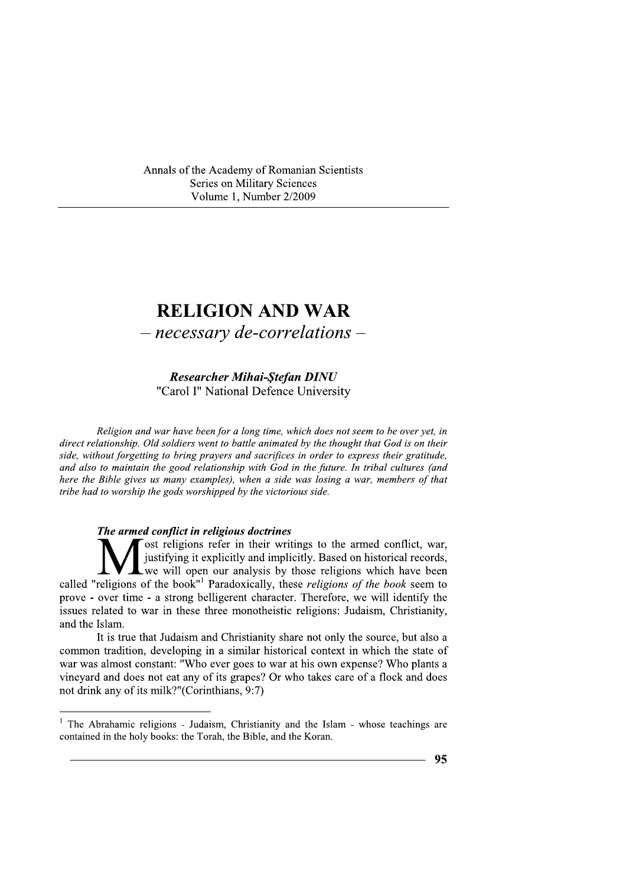Annals of the Academy of Romanian Scientists Series on Military Sciences Volume 1, Number 2/2009

Researcher Mihai-Stefan DINU "Carol I" National Defence University

Annals of the Academy of Romanian Scientists<br>
Series on Military Sciences<br>
Volume 1, Number 2/2009<br>
<br> **RELIGION AND WAR**<br>
— *Recessary de-correlations* **—<br>** *Researcher Mihai-Stefan DINU***<br>
<br>
"Carol I" National Defence Univ** Religion and war have been for a long time, which does not seem to be over yet, in direct relationship. Old soldiers went to battle animated by the thought that God is on their side, without forgetting to bring prayers and sacrifices in order to express their gratitude, and also to maintain the good relationship with God in the future. In tribal cultures (and here the Bible gives us many examples), when a side was losing a war, members of that tribe had to worship the gods worshipped by the victorious side.

## The armed conflict in religious doctrines

ost religions refer in their writings to the armed conflict, war, justifying it explicitly and implicitly. Based on historical records, we will open our analysis by those religions which have been called "religions of the book"<sup>1</sup> Paradoxically, these *religions of the book* seem to prove - over time - a strong belligerent character. Therefore, we will identify the issues related to war in these three monotheistic religions: Judaism, Christianity, and the Islam. **M** justifying it explicitly and implicitly. Based<br>religions of the book<sup>"1</sup> Paradoxically, these religion<br>over time - a strong belligerent character. Therefore<br>elated to war in these three monotheistic religions:<br>Islam.<br>I

It is true that Judaism and Christianity share not only the source, but also a common tradition, developing in a similar historical context in which the state of war was almost constant: "Who ever goes to war at his own expense? Who plants a vineyard and does not eat any of its grapes? Or who takes care of a flock and does not drink any of its milk?"(Corinthians, 9:7)

<sup>&</sup>lt;sup>1</sup> The Abrahamic religions - Judaism, Christianity and the Islam - whose teachings are contained in the holy books: the Torah, the Bible, and the Koran.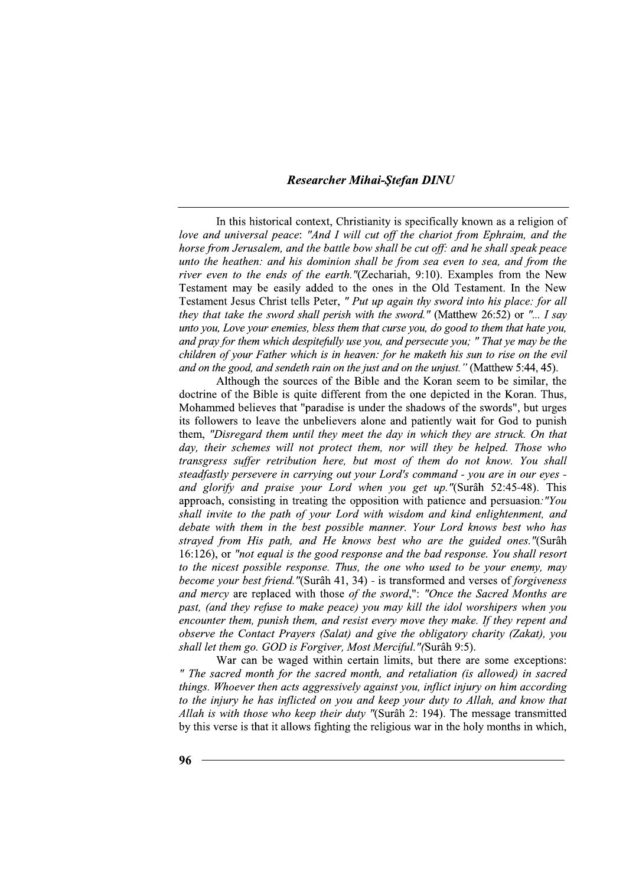In this historical context, Christianity is specifically known as a religion of love and universal peace: "And I will cut off the chariot from Ephraim, and the horse from Jerusalem, and the battle bow shall be cut off: and he shall speak peace unto the heathen: and his dominion shall be from sea even to sea, and from the *river even to the ends of the earth.* "(Zechariah, 9:10). Examples from the New Testament may be easily added to the ones in the Old Testament. In the New Testament Jesus Christ tells Peter, " Put up again thy sword into his place: for all they that take the sword shall perish with the sword." (Matthew 26:52) or "... I say unto you, Love your enemies, bless them that curse you, do good to them that hate you, and pray for them which despitefully use you, and persecute you; " That ye may be the children of your Father which is in heaven: for he maketh his sun to rise on the evil and on the good, and sendeth rain on the just and on the unjust." (Matthew 5:44, 45).

Although the sources of the Bible and the Koran seem to be similar, the doctrine of the Bible is quite different from the one depicted in the Koran. Thus, Mohammed believes that "paradise is under the shadows of the swords", but urges its followers to leave the unbelievers alone and patiently wait for God to punish them, "Disregard them until they meet the day in which they are struck. On that day, their schemes will not protect them, nor will they be helped. Those who transgress suffer retribution here, but most of them do not know. You shall steadfastly persevere in carrying out your Lord's command - you are in our eyes and glorify and praise your Lord when you get up."(Surâh 52:45-48). This approach, consisting in treating the opposition with patience and persuasion. "You shall invite to the path of your Lord with wisdom and kind enlightenment, and debate with them in the best possible manner. Your Lord knows best who has strayed from His path, and He knows best who are the guided ones."(Surâh 16:126), or "not equal is the good response and the bad response. You shall resort to the nicest possible response. Thus, the one who used to be your enemy, may become your best friend."(Surâh 41, 34) - is transformed and verses of forgiveness and mercy are replaced with those of the sword,": "Once the Sacred Months are past, (and they refuse to make peace) you may kill the idol worshipers when you encounter them, punish them, and resist every move they make. If they repent and observe the Contact Prayers (Salat) and give the obligatory charity (Zakat), you shall let them go. GOD is Forgiver, Most Merciful."(Surâh 9:5).

War can be waged within certain limits, but there are some exceptions: " The sacred month for the sacred month, and retaliation (is allowed) in sacred things. Whoever then acts aggressively against you, inflict injury on him according to the injury he has inflicted on you and keep your duty to Allah, and know that Allah is with those who keep their duty "(Surâh 2: 194). The message transmitted by this verse is that it allows fighting the religious war in the holy months in which,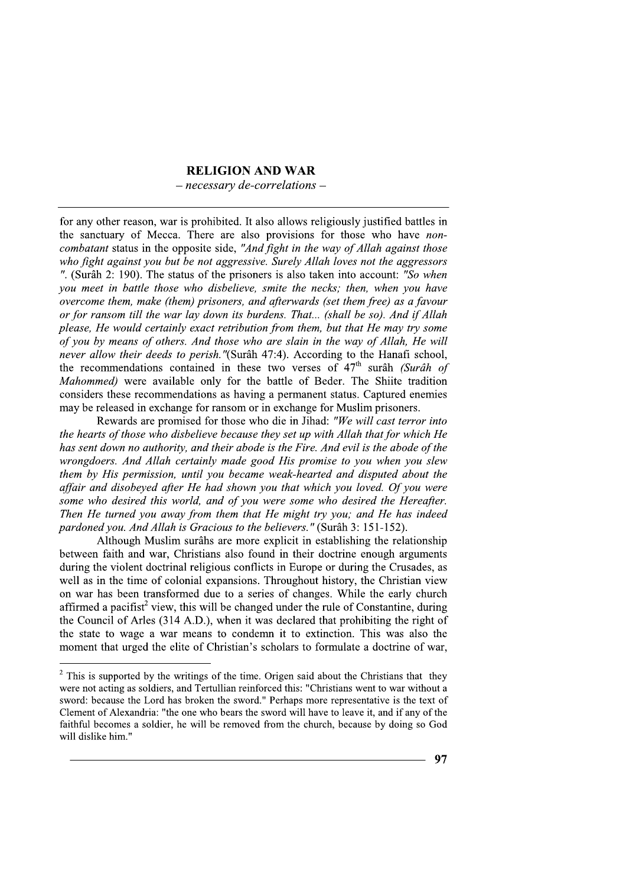## **RELIGION AND WAR**

 $-$  necessary de-correlations  $-$ 

for any other reason, war is prohibited. It also allows religiously justified battles in the sanctuary of Mecca. There are also provisions for those who have noncombatant status in the opposite side, "And fight in the way of Allah against those who fight against you but be not aggressive. Surely Allah loves not the aggressors ". (Surâh 2: 190). The status of the prisoners is also taken into account: "So when you meet in battle those who disbelieve, smite the necks; then, when you have overcome them, make (them) prisoners, and afterwards (set them free) as a favour or for ransom till the war lay down its burdens. That... (shall be so). And if Allah please, He would certainly exact retribution from them, but that He may try some of you by means of others. And those who are slain in the way of Allah, He will never allow their deeds to perish."(Surâh 47:4). According to the Hanafi school, the recommendations contained in these two verses of  $47<sup>th</sup>$  surâh (Surâh of Mahommed) were available only for the battle of Beder. The Shiite tradition considers these recommendations as having a permanent status. Captured enemies may be released in exchange for ransom or in exchange for Muslim prisoners.

Rewards are promised for those who die in Jihad: "We will cast terror into the hearts of those who disbelieve because they set up with Allah that for which He has sent down no authority, and their abode is the Fire. And evil is the abode of the wrongdoers. And Allah certainly made good His promise to you when you slew them by His permission, until you became weak-hearted and disputed about the affair and disobeyed after He had shown you that which you loved. Of you were some who desired this world, and of you were some who desired the Hereafter. Then He turned you away from them that He might try you; and He has indeed pardoned you. And Allah is Gracious to the believers." (Surâh 3: 151-152).

Although Muslim surâhs are more explicit in establishing the relationship between faith and war, Christians also found in their doctrine enough arguments during the violent doctrinal religious conflicts in Europe or during the Crusades, as well as in the time of colonial expansions. Throughout history, the Christian view on war has been transformed due to a series of changes. While the early church affirmed a pacifist<sup>2</sup> view, this will be changed under the rule of Constantine, during the Council of Arles (314 A.D.), when it was declared that prohibiting the right of the state to wage a war means to condemn it to extinction. This was also the moment that urged the elite of Christian's scholars to formulate a doctrine of war,

 $2$  This is supported by the writings of the time. Origen said about the Christians that they were not acting as soldiers, and Tertullian reinforced this: "Christians went to war without a sword: because the Lord has broken the sword." Perhaps more representative is the text of Clement of Alexandria: "the one who bears the sword will have to leave it, and if any of the faithful becomes a soldier, he will be removed from the church, because by doing so God will dislike him."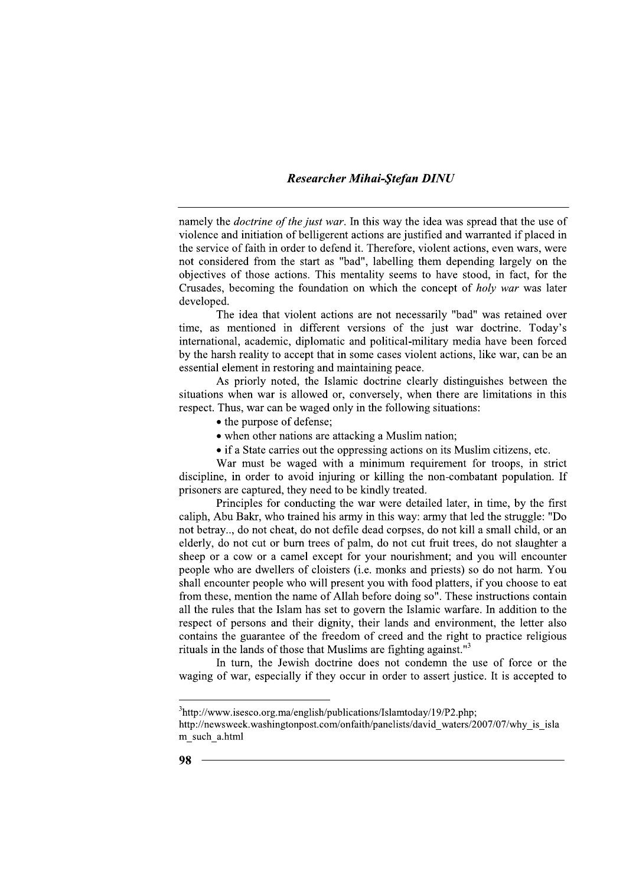namely the *doctrine of the just war*. In this way the idea was spread that the use of violence and initiation of belligerent actions are justified and warranted if placed in the service of faith in order to defend it. Therefore, violent actions, even wars, were not considered from the start as "bad", labelling them depending largely on the objectives of those actions. This mentality seems to have stood, in fact, for the Crusades, becoming the foundation on which the concept of holy war was later developed.

The idea that violent actions are not necessarily "bad" was retained over time, as mentioned in different versions of the just war doctrine. Today's international, academic, diplomatic and political-military media have been forced by the harsh reality to accept that in some cases violent actions, like war, can be an essential element in restoring and maintaining peace.

As priorly noted, the Islamic doctrine clearly distinguishes between the situations when war is allowed or, conversely, when there are limitations in this respect. Thus, war can be waged only in the following situations:

- the purpose of defense:
- when other nations are attacking a Muslim nation;
- if a State carries out the oppressing actions on its Muslim citizens, etc.

War must be waged with a minimum requirement for troops, in strict discipline, in order to avoid injuring or killing the non-combatant population. If prisoners are captured, they need to be kindly treated.

Principles for conducting the war were detailed later, in time, by the first caliph, Abu Bakr, who trained his army in this way: army that led the struggle: "Do not betray... do not cheat, do not defile dead corpses, do not kill a small child, or an elderly, do not cut or burn trees of palm, do not cut fruit trees, do not slaughter a sheep or a cow or a camel except for your nourishment; and you will encounter people who are dwellers of cloisters (i.e. monks and priests) so do not harm. You shall encounter people who will present you with food platters, if you choose to eat from these, mention the name of Allah before doing so". These instructions contain all the rules that the Islam has set to govern the Islamic warfare. In addition to the respect of persons and their dignity, their lands and environment, the letter also contains the guarantee of the freedom of creed and the right to practice religious rituals in the lands of those that Muslims are fighting against."<sup>3</sup>

In turn, the Jewish doctrine does not condemn the use of force or the waging of war, especially if they occur in order to assert justice. It is accepted to

 $3$ http://www.isesco.org.ma/english/publications/Islamtoday/19/P2.php;

http://newsweek.washingtonpost.com/onfaith/panelists/david waters/2007/07/why is isla m such a.html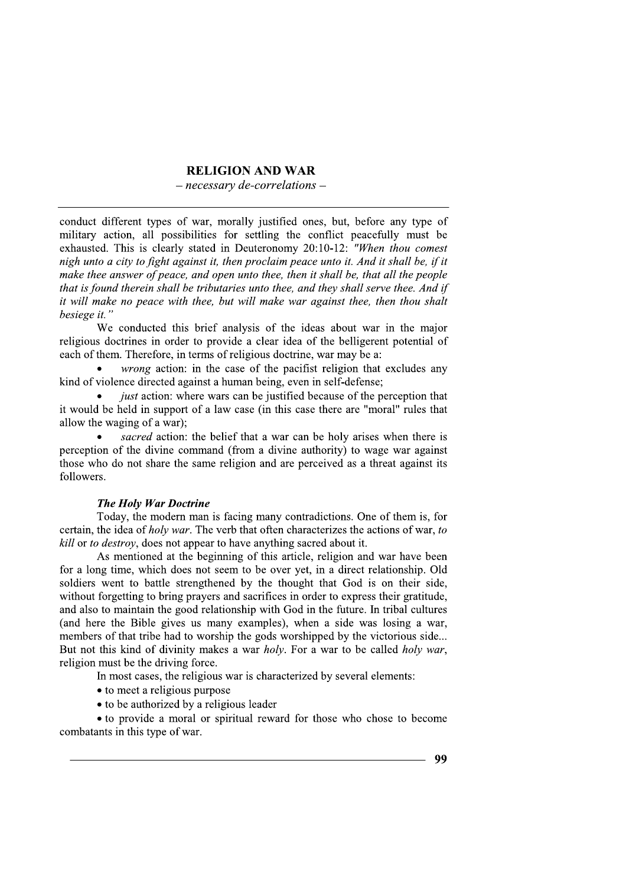### **RELIGION AND WAR**

 $-$  necessary de-correlations  $-$ 

conduct different types of war, morally justified ones, but, before any type of military action, all possibilities for settling the conflict peacefully must be exhausted. This is clearly stated in Deuteronomy 20:10-12: "When thou comest nigh unto a city to fight against it, then proclaim peace unto it. And it shall be, if it make thee answer of peace, and open unto thee, then it shall be, that all the people that is found therein shall be tributaries unto thee, and they shall serve thee. And if it will make no peace with thee, but will make war against thee, then thou shalt besiege it.'

We conducted this brief analysis of the ideas about war in the major religious doctrines in order to provide a clear idea of the belligerent potential of each of them. Therefore, in terms of religious doctrine, war may be a:

*wrong* action: in the case of the pacifist religion that excludes any kind of violence directed against a human being, even in self-defense;

*just* action: where wars can be justified because of the perception that it would be held in support of a law case (in this case there are "moral" rules that allow the waging of a war);

sacred action: the belief that a war can be holy arises when there is perception of the divine command (from a divine authority) to wage war against those who do not share the same religion and are perceived as a threat against its followers.

### **The Holy War Doctrine**

Today, the modern man is facing many contradictions. One of them is, for certain, the idea of *holy war*. The verb that often characterizes the actions of war, to kill or to destroy, does not appear to have anything sacred about it.

As mentioned at the beginning of this article, religion and war have been for a long time, which does not seem to be over yet, in a direct relationship. Old soldiers went to battle strengthened by the thought that God is on their side, without forgetting to bring prayers and sacrifices in order to express their gratitude. and also to maintain the good relationship with God in the future. In tribal cultures (and here the Bible gives us many examples), when a side was losing a war, members of that tribe had to worship the gods worshipped by the victorious side... But not this kind of divinity makes a war holy. For a war to be called holy war, religion must be the driving force.

In most cases, the religious war is characterized by several elements:

- to meet a religious purpose
- to be authorized by a religious leader

• to provide a moral or spiritual reward for those who chose to become combatants in this type of war.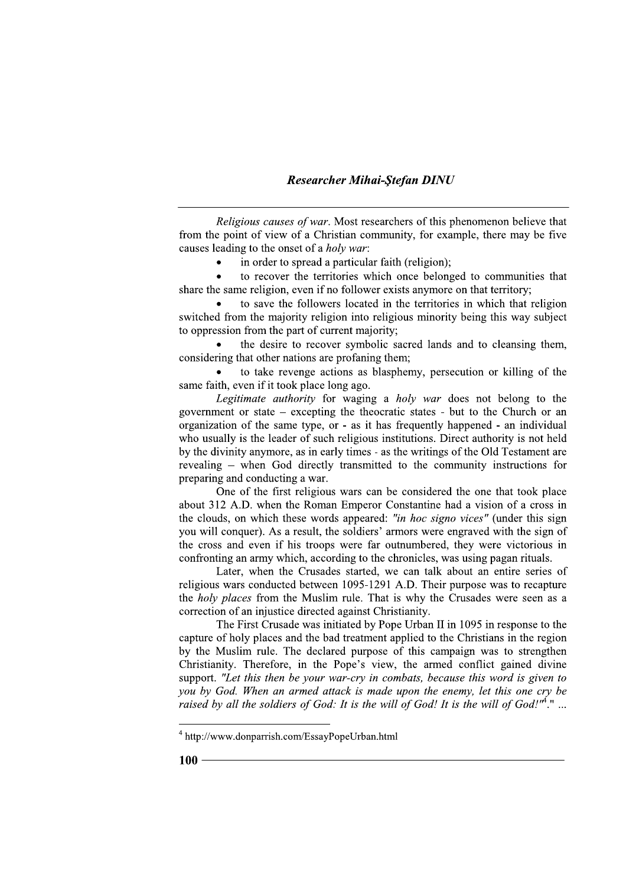Religious causes of war. Most researchers of this phenomenon believe that from the point of view of a Christian community, for example, there may be five causes leading to the onset of a *holy war*:

in order to spread a particular faith (religion);  $\bullet$ 

to recover the territories which once belonged to communities that share the same religion, even if no follower exists anymore on that territory;

to save the followers located in the territories in which that religion switched from the majority religion into religious minority being this way subject to oppression from the part of current majority;

the desire to recover symbolic sacred lands and to cleansing them, considering that other nations are profaning them;

to take revenge actions as blasphemy, persecution or killing of the same faith, even if it took place long ago.

Legitimate authority for waging a holy war does not belong to the government or state  $-$  excepting the theocratic states  $-$  but to the Church or an organization of the same type, or - as it has frequently happened - an individual who usually is the leader of such religious institutions. Direct authority is not held by the divinity anymore, as in early times - as the writings of the Old Testament are revealing - when God directly transmitted to the community instructions for preparing and conducting a war.

One of the first religious wars can be considered the one that took place about 312 A.D. when the Roman Emperor Constantine had a vision of a cross in the clouds, on which these words appeared: "in hoc signo vices" (under this sign you will conquer). As a result, the soldiers' armors were engraved with the sign of the cross and even if his troops were far outnumbered, they were victorious in confronting an army which, according to the chronicles, was using pagan rituals.

Later, when the Crusades started, we can talk about an entire series of religious wars conducted between 1095-1291 A.D. Their purpose was to recapture the *holy places* from the Muslim rule. That is why the Crusades were seen as a correction of an injustice directed against Christianity.

The First Crusade was initiated by Pope Urban II in 1095 in response to the capture of holy places and the bad treatment applied to the Christians in the region by the Muslim rule. The declared purpose of this campaign was to strengthen Christianity. Therefore, in the Pope's view, the armed conflict gained divine support. "Let this then be your war-cry in combats, because this word is given to you by God. When an armed attack is made upon the enemy, let this one cry be raised by all the soldiers of God: It is the will of God! It is the will of God!"<sup>4</sup>." ...

 $4$  http://www.donparrish.com/EssayPopeUrban.html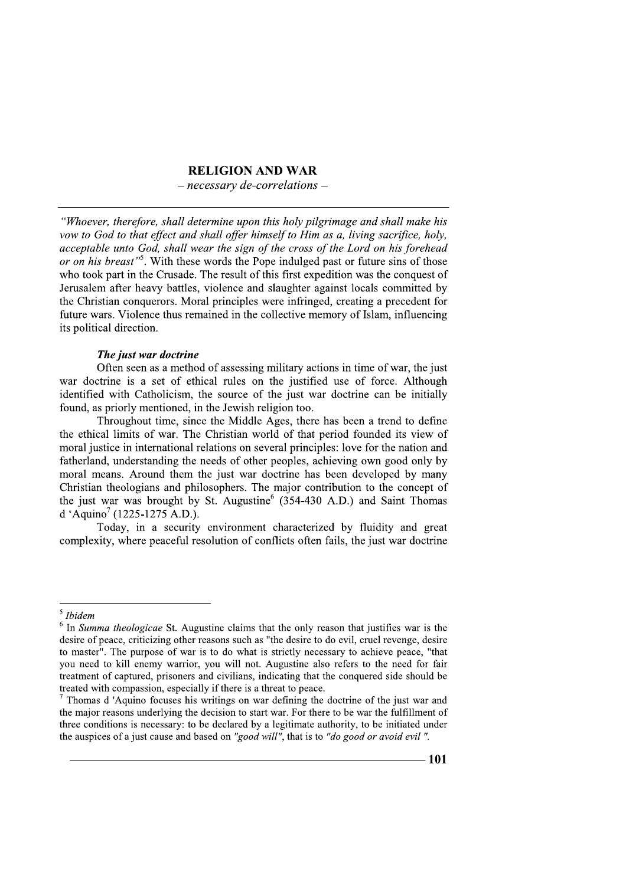# **RELIGION AND WAR**

 $-$  necessary de-correlations  $-$ 

"Whoever, therefore, shall determine upon this holy pilgrimage and shall make his vow to God to that effect and shall offer himself to Him as a, living sacrifice, holy, acceptable unto God, shall wear the sign of the cross of the Lord on his forehead or on his breast"<sup>5</sup>. With these words the Pope indulged past or future sins of those who took part in the Crusade. The result of this first expedition was the conquest of Jerusalem after heavy battles, violence and slaughter against locals committed by the Christian conquerors. Moral principles were infringed, creating a precedent for future wars. Violence thus remained in the collective memory of Islam, influencing its political direction.

# The just war doctrine

Often seen as a method of assessing military actions in time of war, the just war doctrine is a set of ethical rules on the justified use of force. Although identified with Catholicism, the source of the just war doctrine can be initially found, as priorly mentioned, in the Jewish religion too.

Throughout time, since the Middle Ages, there has been a trend to define the ethical limits of war. The Christian world of that period founded its view of moral justice in international relations on several principles: love for the nation and fatherland, understanding the needs of other peoples, achieving own good only by moral means. Around them the just war doctrine has been developed by many Christian theologians and philosophers. The major contribution to the concept of the just war was brought by St. Augustine (354-430 A.D.) and Saint Thomas d 'Aquino<sup>7</sup> (1225-1275 A.D.).

Today, in a security environment characterized by fluidity and great complexity, where peaceful resolution of conflicts often fails, the just war doctrine

 $<sup>5</sup>$  Ibidem</sup>

 $6$  In Summa theologicae St. Augustine claims that the only reason that justifies war is the desire of peace, criticizing other reasons such as "the desire to do evil, cruel revenge, desire to master". The purpose of war is to do what is strictly necessary to achieve peace. "that you need to kill enemy warrior, you will not. Augustine also refers to the need for fair treatment of captured, prisoners and civilians, indicating that the conquered side should be treated with compassion, especially if there is a threat to peace.

Thomas d 'Aquino focuses his writings on war defining the doctrine of the just war and the major reasons underlying the decision to start war. For there to be war the fulfillment of three conditions is necessary: to be declared by a legitimate authority, to be initiated under the auspices of a just cause and based on "good will", that is to "do good or avoid evil".